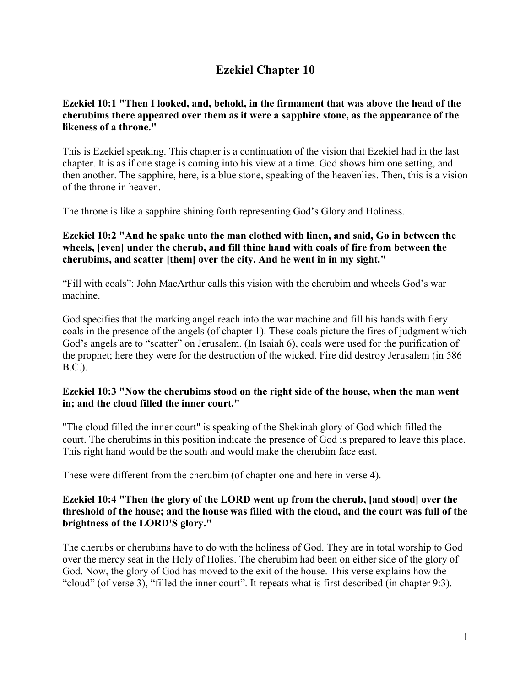## **Ezekiel Chapter 10**

## **Ezekiel 10:1 "Then I looked, and, behold, in the firmament that was above the head of the cherubims there appeared over them as it were a sapphire stone, as the appearance of the likeness of a throne."**

This is Ezekiel speaking. This chapter is a continuation of the vision that Ezekiel had in the last chapter. It is as if one stage is coming into his view at a time. God shows him one setting, and then another. The sapphire, here, is a blue stone, speaking of the heavenlies. Then, this is a vision of the throne in heaven.

The throne is like a sapphire shining forth representing God's Glory and Holiness.

## **Ezekiel 10:2 "And he spake unto the man clothed with linen, and said, Go in between the wheels, [even] under the cherub, and fill thine hand with coals of fire from between the cherubims, and scatter [them] over the city. And he went in in my sight."**

"Fill with coals": John MacArthur calls this vision with the cherubim and wheels God's war machine.

God specifies that the marking angel reach into the war machine and fill his hands with fiery coals in the presence of the angels (of chapter 1). These coals picture the fires of judgment which God's angels are to "scatter" on Jerusalem. (In Isaiah 6), coals were used for the purification of the prophet; here they were for the destruction of the wicked. Fire did destroy Jerusalem (in 586 B.C.).

## **Ezekiel 10:3 "Now the cherubims stood on the right side of the house, when the man went in; and the cloud filled the inner court."**

"The cloud filled the inner court" is speaking of the Shekinah glory of God which filled the court. The cherubims in this position indicate the presence of God is prepared to leave this place. This right hand would be the south and would make the cherubim face east.

These were different from the cherubim (of chapter one and here in verse 4).

#### **Ezekiel 10:4 "Then the glory of the LORD went up from the cherub, [and stood] over the threshold of the house; and the house was filled with the cloud, and the court was full of the brightness of the LORD'S glory."**

The cherubs or cherubims have to do with the holiness of God. They are in total worship to God over the mercy seat in the Holy of Holies. The cherubim had been on either side of the glory of God. Now, the glory of God has moved to the exit of the house. This verse explains how the "cloud" (of verse 3), "filled the inner court". It repeats what is first described (in chapter 9:3).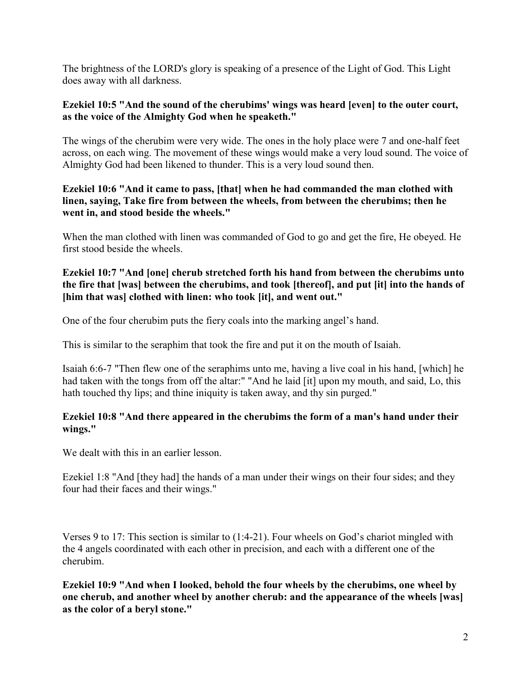The brightness of the LORD's glory is speaking of a presence of the Light of God. This Light does away with all darkness.

#### **Ezekiel 10:5 "And the sound of the cherubims' wings was heard [even] to the outer court, as the voice of the Almighty God when he speaketh."**

The wings of the cherubim were very wide. The ones in the holy place were 7 and one-half feet across, on each wing. The movement of these wings would make a very loud sound. The voice of Almighty God had been likened to thunder. This is a very loud sound then.

## **Ezekiel 10:6 "And it came to pass, [that] when he had commanded the man clothed with linen, saying, Take fire from between the wheels, from between the cherubims; then he went in, and stood beside the wheels."**

When the man clothed with linen was commanded of God to go and get the fire, He obeyed. He first stood beside the wheels.

## **Ezekiel 10:7 "And [one] cherub stretched forth his hand from between the cherubims unto the fire that [was] between the cherubims, and took [thereof], and put [it] into the hands of [him that was] clothed with linen: who took [it], and went out."**

One of the four cherubim puts the fiery coals into the marking angel's hand.

This is similar to the seraphim that took the fire and put it on the mouth of Isaiah.

Isaiah 6:6-7 "Then flew one of the seraphims unto me, having a live coal in his hand, [which] he had taken with the tongs from off the altar:" "And he laid [it] upon my mouth, and said, Lo, this hath touched thy lips; and thine iniquity is taken away, and thy sin purged."

## **Ezekiel 10:8 "And there appeared in the cherubims the form of a man's hand under their wings."**

We dealt with this in an earlier lesson.

Ezekiel 1:8 "And [they had] the hands of a man under their wings on their four sides; and they four had their faces and their wings."

Verses 9 to 17: This section is similar to (1:4-21). Four wheels on God's chariot mingled with the 4 angels coordinated with each other in precision, and each with a different one of the cherubim.

**Ezekiel 10:9 "And when I looked, behold the four wheels by the cherubims, one wheel by one cherub, and another wheel by another cherub: and the appearance of the wheels [was] as the color of a beryl stone."**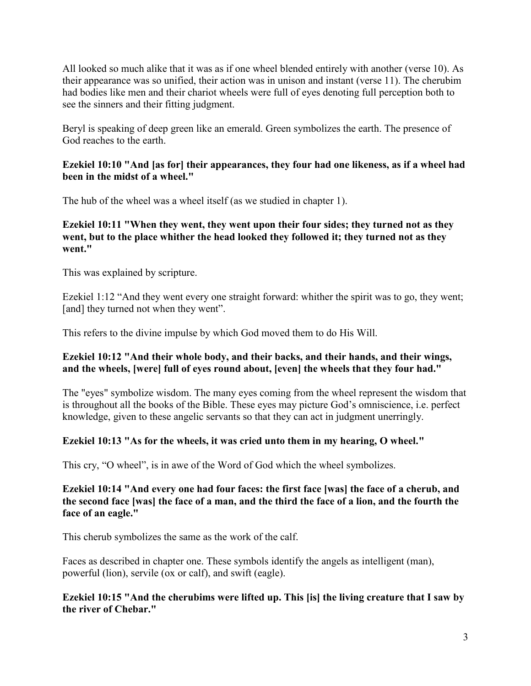All looked so much alike that it was as if one wheel blended entirely with another (verse 10). As their appearance was so unified, their action was in unison and instant (verse 11). The cherubim had bodies like men and their chariot wheels were full of eyes denoting full perception both to see the sinners and their fitting judgment.

Beryl is speaking of deep green like an emerald. Green symbolizes the earth. The presence of God reaches to the earth.

## **Ezekiel 10:10 "And [as for] their appearances, they four had one likeness, as if a wheel had been in the midst of a wheel."**

The hub of the wheel was a wheel itself (as we studied in chapter 1).

## **Ezekiel 10:11 "When they went, they went upon their four sides; they turned not as they went, but to the place whither the head looked they followed it; they turned not as they went."**

This was explained by scripture.

Ezekiel 1:12 "And they went every one straight forward: whither the spirit was to go, they went; [and] they turned not when they went".

This refers to the divine impulse by which God moved them to do His Will.

#### **Ezekiel 10:12 "And their whole body, and their backs, and their hands, and their wings, and the wheels, [were] full of eyes round about, [even] the wheels that they four had."**

The "eyes" symbolize wisdom. The many eyes coming from the wheel represent the wisdom that is throughout all the books of the Bible. These eyes may picture God's omniscience, i.e. perfect knowledge, given to these angelic servants so that they can act in judgment unerringly.

## **Ezekiel 10:13 "As for the wheels, it was cried unto them in my hearing, O wheel."**

This cry, "O wheel", is in awe of the Word of God which the wheel symbolizes.

#### **Ezekiel 10:14 "And every one had four faces: the first face [was] the face of a cherub, and the second face [was] the face of a man, and the third the face of a lion, and the fourth the face of an eagle."**

This cherub symbolizes the same as the work of the calf.

Faces as described in chapter one. These symbols identify the angels as intelligent (man), powerful (lion), servile (ox or calf), and swift (eagle).

#### **Ezekiel 10:15 "And the cherubims were lifted up. This [is] the living creature that I saw by the river of Chebar."**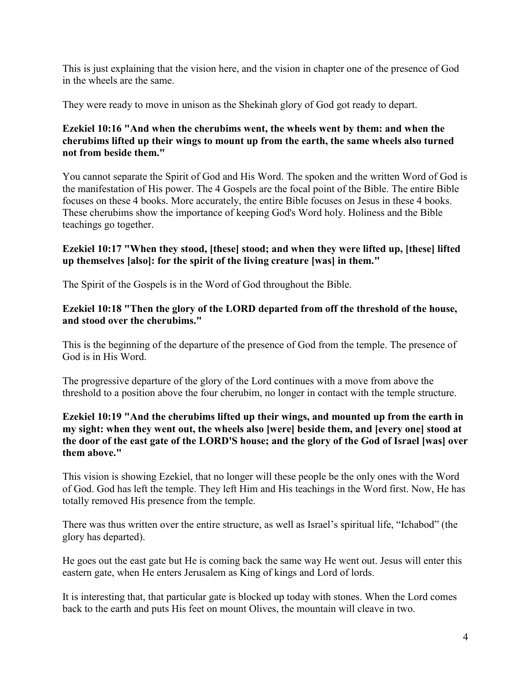This is just explaining that the vision here, and the vision in chapter one of the presence of God in the wheels are the same.

They were ready to move in unison as the Shekinah glory of God got ready to depart.

## **Ezekiel 10:16 "And when the cherubims went, the wheels went by them: and when the cherubims lifted up their wings to mount up from the earth, the same wheels also turned not from beside them."**

You cannot separate the Spirit of God and His Word. The spoken and the written Word of God is the manifestation of His power. The 4 Gospels are the focal point of the Bible. The entire Bible focuses on these 4 books. More accurately, the entire Bible focuses on Jesus in these 4 books. These cherubims show the importance of keeping God's Word holy. Holiness and the Bible teachings go together.

## **Ezekiel 10:17 "When they stood, [these] stood; and when they were lifted up, [these] lifted up themselves [also]: for the spirit of the living creature [was] in them."**

The Spirit of the Gospels is in the Word of God throughout the Bible.

## **Ezekiel 10:18 "Then the glory of the LORD departed from off the threshold of the house, and stood over the cherubims."**

This is the beginning of the departure of the presence of God from the temple. The presence of God is in His Word.

The progressive departure of the glory of the Lord continues with a move from above the threshold to a position above the four cherubim, no longer in contact with the temple structure.

#### **Ezekiel 10:19 "And the cherubims lifted up their wings, and mounted up from the earth in my sight: when they went out, the wheels also [were] beside them, and [every one] stood at the door of the east gate of the LORD'S house; and the glory of the God of Israel [was] over them above."**

This vision is showing Ezekiel, that no longer will these people be the only ones with the Word of God. God has left the temple. They left Him and His teachings in the Word first. Now, He has totally removed His presence from the temple.

There was thus written over the entire structure, as well as Israel's spiritual life, "Ichabod" (the glory has departed).

He goes out the east gate but He is coming back the same way He went out. Jesus will enter this eastern gate, when He enters Jerusalem as King of kings and Lord of lords.

It is interesting that, that particular gate is blocked up today with stones. When the Lord comes back to the earth and puts His feet on mount Olives, the mountain will cleave in two.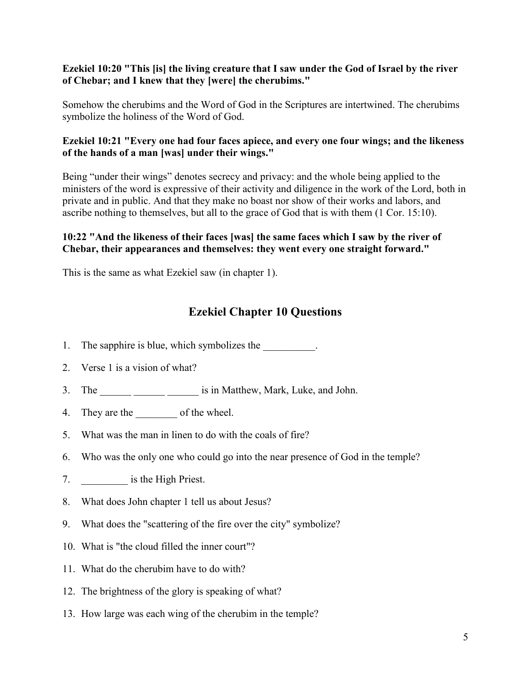## **Ezekiel 10:20 "This [is] the living creature that I saw under the God of Israel by the river of Chebar; and I knew that they [were] the cherubims."**

Somehow the cherubims and the Word of God in the Scriptures are intertwined. The cherubims symbolize the holiness of the Word of God.

## **Ezekiel 10:21 "Every one had four faces apiece, and every one four wings; and the likeness of the hands of a man [was] under their wings."**

Being "under their wings" denotes secrecy and privacy: and the whole being applied to the ministers of the word is expressive of their activity and diligence in the work of the Lord, both in private and in public. And that they make no boast nor show of their works and labors, and ascribe nothing to themselves, but all to the grace of God that is with them (1 Cor. 15:10).

## **10:22 "And the likeness of their faces [was] the same faces which I saw by the river of Chebar, their appearances and themselves: they went every one straight forward."**

This is the same as what Ezekiel saw (in chapter 1).

# **Ezekiel Chapter 10 Questions**

- 1. The sapphire is blue, which symbolizes the
- 2. Verse 1 is a vision of what?
- 3. The \_\_\_\_\_\_ \_\_\_\_\_\_ \_\_\_\_\_\_ is in Matthew, Mark, Luke, and John.
- 4. They are the \_\_\_\_\_\_\_\_\_ of the wheel.
- 5. What was the man in linen to do with the coals of fire?
- 6. Who was the only one who could go into the near presence of God in the temple?
- 7. **a** is the High Priest.
- 8. What does John chapter 1 tell us about Jesus?
- 9. What does the "scattering of the fire over the city" symbolize?
- 10. What is "the cloud filled the inner court"?
- 11. What do the cherubim have to do with?
- 12. The brightness of the glory is speaking of what?
- 13. How large was each wing of the cherubim in the temple?